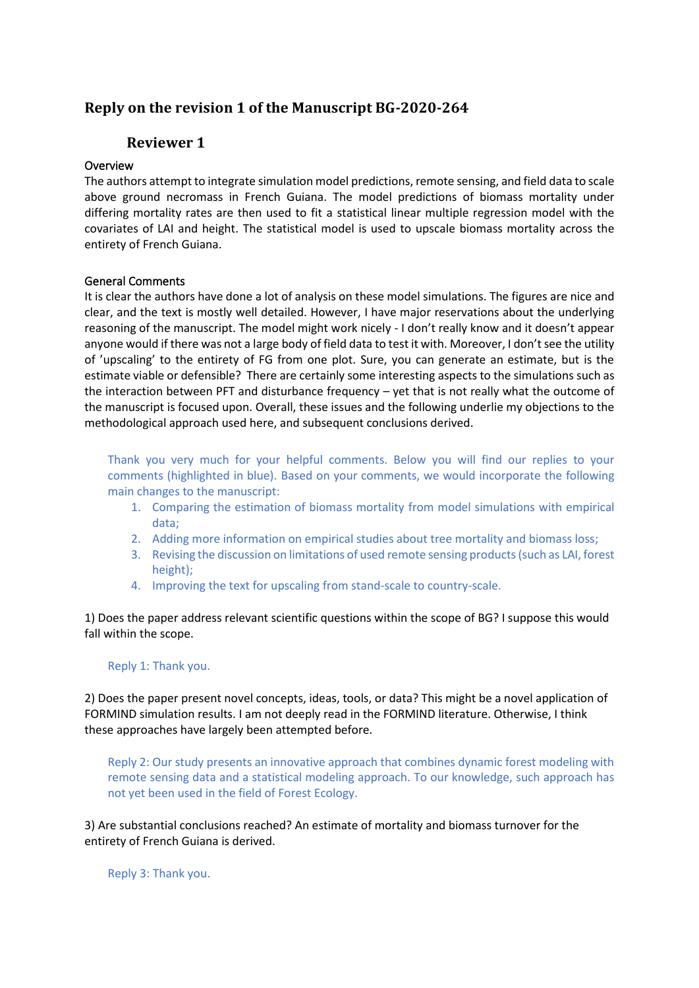# **Reply on the revision 1 of the Manuscript BG-2020-264**

# **Reviewer 1**

## Overview

The authors attempt to integrate simulation model predictions, remote sensing, and field data to scale above ground necromass in French Guiana. The model predictions of biomass mortality under differing mortality rates are then used to fit a statistical linear multiple regression model with the covariates of LAI and height. The statistical model is used to upscale biomass mortality across the entirety of French Guiana.

## General Comments

It is clear the authors have done a lot of analysis on these model simulations. The figures are nice and clear, and the text is mostly well detailed. However, I have major reservations about the underlying reasoning of the manuscript. The model might work nicely - I don't really know and it doesn't appear anyone would if there was not a large body of field data to test it with. Moreover, I don't see the utility of 'upscaling' to the entirety of FG from one plot. Sure, you can generate an estimate, but is the estimate viable or defensible? There are certainly some interesting aspects to the simulations such as the interaction between PFT and disturbance frequency – yet that is not really what the outcome of the manuscript is focused upon. Overall, these issues and the following underlie my objections to the methodological approach used here, and subsequent conclusions derived.

Thank you very much for your helpful comments. Below you will find our replies to your comments (highlighted in blue). Based on your comments, we would incorporate the following main changes to the manuscript:

- 1. Comparing the estimation of biomass mortality from model simulations with empirical data;
- 2. Adding more information on empirical studies about tree mortality and biomass loss;
- 3. Revising the discussion on limitations of used remote sensing products (such as LAI, forest height);
- 4. Improving the text for upscaling from stand-scale to country-scale.

1) Does the paper address relevant scientific questions within the scope of BG? I suppose this would fall within the scope.

### Reply 1: Thank you.

2) Does the paper present novel concepts, ideas, tools, or data? This might be a novel application of FORMIND simulation results. I am not deeply read in the FORMIND literature. Otherwise, I think these approaches have largely been attempted before.

Reply 2: Our study presents an innovative approach that combines dynamic forest modeling with remote sensing data and a statistical modeling approach. To our knowledge, such approach has not yet been used in the field of Forest Ecology.

3) Are substantial conclusions reached? An estimate of mortality and biomass turnover for the entirety of French Guiana is derived.

Reply 3: Thank you.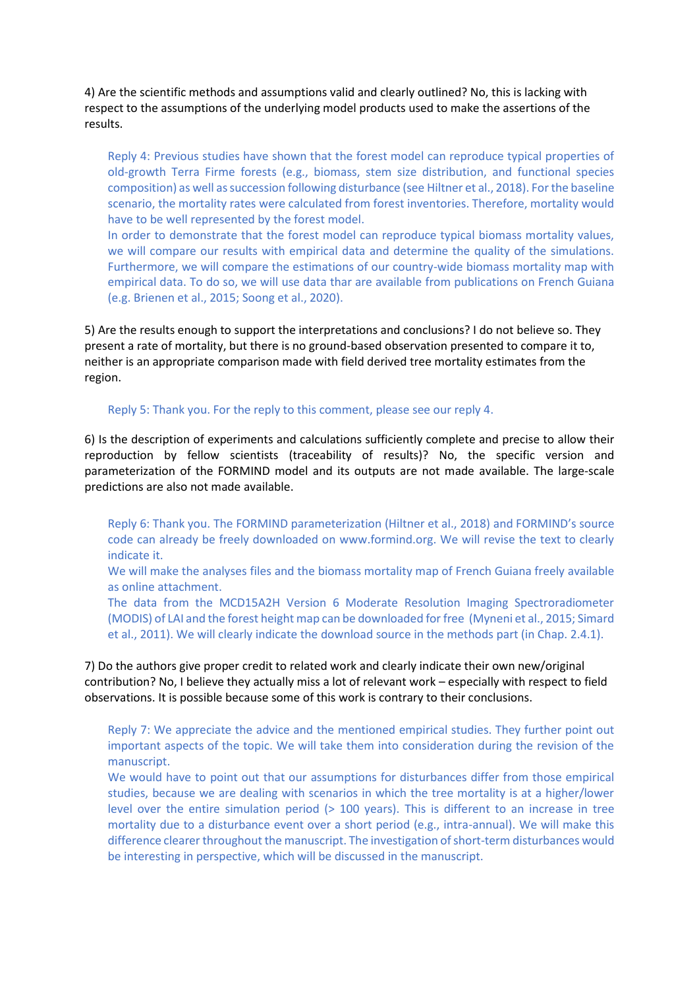4) Are the scientific methods and assumptions valid and clearly outlined? No, this is lacking with respect to the assumptions of the underlying model products used to make the assertions of the results.

Reply 4: Previous studies have shown that the forest model can reproduce typical properties of old-growth Terra Firme forests (e.g., biomass, stem size distribution, and functional species composition) as well as succession following disturbance (see Hiltner et al., 2018). For the baseline scenario, the mortality rates were calculated from forest inventories. Therefore, mortality would have to be well represented by the forest model.

In order to demonstrate that the forest model can reproduce typical biomass mortality values, we will compare our results with empirical data and determine the quality of the simulations. Furthermore, we will compare the estimations of our country-wide biomass mortality map with empirical data. To do so, we will use data thar are available from publications on French Guiana (e.g. Brienen et al., 2015; Soong et al., 2020).

5) Are the results enough to support the interpretations and conclusions? I do not believe so. They present a rate of mortality, but there is no ground-based observation presented to compare it to, neither is an appropriate comparison made with field derived tree mortality estimates from the region.

Reply 5: Thank you. For the reply to this comment, please see our reply 4.

6) Is the description of experiments and calculations sufficiently complete and precise to allow their reproduction by fellow scientists (traceability of results)? No, the specific version and parameterization of the FORMIND model and its outputs are not made available. The large-scale predictions are also not made available.

Reply 6: Thank you. The FORMIND parameterization (Hiltner et al., 2018) and FORMIND's source code can already be freely downloaded on www.formind.org. We will revise the text to clearly indicate it.

We will make the analyses files and the biomass mortality map of French Guiana freely available [as](http://as/) online attachment.

The data from the MCD15A2H Version 6 Moderate Resolution Imaging Spectroradiometer (MODIS) of LAI and the forest height map can be downloaded for free (Myneni et al., 2015; Simard et al., 2011). We will clearly indicate the download source in the methods part (in Chap. 2.4.1).

7) Do the authors give proper credit to related work and clearly indicate their own new/original contribution? No, I believe they actually miss a lot of relevant work – especially with respect to field observations. It is possible because some of this work is contrary to their conclusions.

Reply 7: We appreciate the advice and the mentioned empirical studies. They further point out important aspects of the topic. We will take them into consideration during the revision of the manuscript.

We would have to point out that our assumptions for disturbances differ from those empirical studies, because we are dealing with scenarios in which the tree mortality is at a higher/lower level over the entire simulation period (> 100 years). This is different to an increase in tree mortality due to a disturbance event over a short period (e.g., intra-annual). We will make this difference clearer throughout the manuscript. The investigation of short-term disturbances would be interesting in perspective, which will be discussed in the manuscript.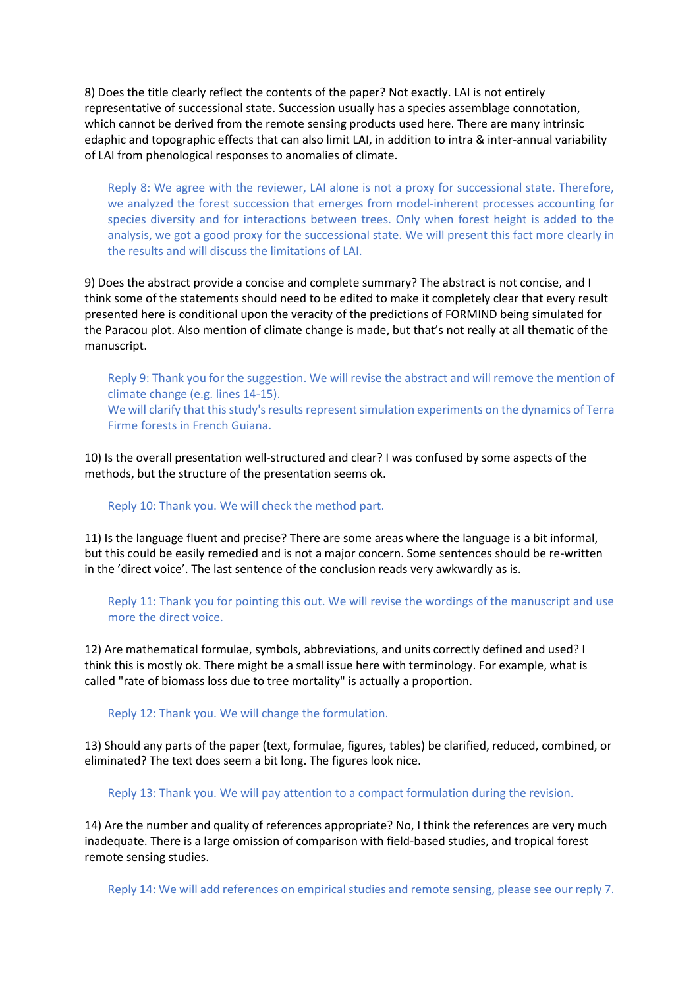8) Does the title clearly reflect the contents of the paper? Not exactly. LAI is not entirely representative of successional state. Succession usually has a species assemblage connotation, which cannot be derived from the remote sensing products used here. There are many intrinsic edaphic and topographic effects that can also limit LAI, in addition to intra & inter-annual variability of LAI from phenological responses to anomalies of climate.

Reply 8: We agree with the reviewer, LAI alone is not a proxy for successional state. Therefore, we analyzed the forest succession that emerges from model-inherent processes accounting for species diversity and for interactions between trees. Only when forest height is added to the analysis, we got a good proxy for the successional state. We will present this fact more clearly in the results and will discuss the limitations of LAI.

9) Does the abstract provide a concise and complete summary? The abstract is not concise, and I think some of the statements should need to be edited to make it completely clear that every result presented here is conditional upon the veracity of the predictions of FORMIND being simulated for the Paracou plot. Also mention of climate change is made, but that's not really at all thematic of the manuscript.

Reply 9: Thank you for the suggestion. We will revise the abstract and will remove the mention of climate change (e.g. lines 14-15). We will clarify that this study's results represent simulation experiments on the dynamics of Terra Firme forests in French Guiana.

10) Is the overall presentation well-structured and clear? I was confused by some aspects of the methods, but the structure of the presentation seems ok.

#### Reply 10: Thank you. We will check the method part.

11) Is the language fluent and precise? There are some areas where the language is a bit informal, but this could be easily remedied and is not a major concern. Some sentences should be re-written in the 'direct voice'. The last sentence of the conclusion reads very awkwardly as is.

Reply 11: Thank you for pointing this out. We will revise the wordings of the manuscript and use more the direct voice.

12) Are mathematical formulae, symbols, abbreviations, and units correctly defined and used? I think this is mostly ok. There might be a small issue here with terminology. For example, what is called "rate of biomass loss due to tree mortality" is actually a proportion.

Reply 12: Thank you. We will change the formulation.

13) Should any parts of the paper (text, formulae, figures, tables) be clarified, reduced, combined, or eliminated? The text does seem a bit long. The figures look nice.

Reply 13: Thank you. We will pay attention to a compact formulation during the revision.

14) Are the number and quality of references appropriate? No, I think the references are very much inadequate. There is a large omission of comparison with field-based studies, and tropical forest remote sensing studies.

Reply 14: We will add references on empirical studies and remote sensing, please see our reply 7.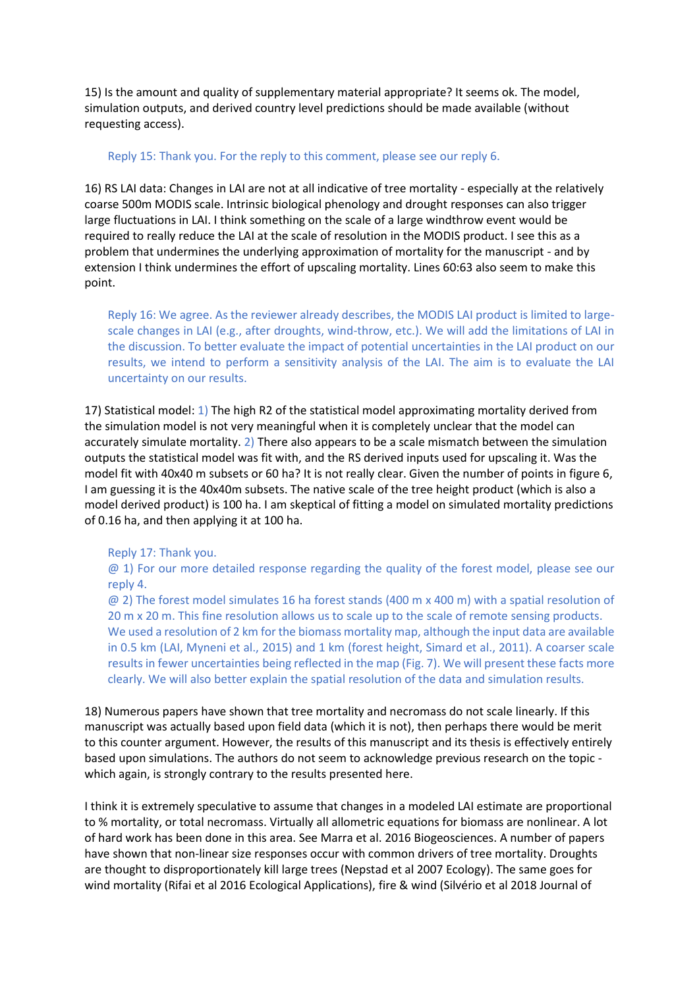15) Is the amount and quality of supplementary material appropriate? It seems ok. The model, simulation outputs, and derived country level predictions should be made available (without requesting access).

### Reply 15: Thank you. For the reply to this comment, please see our reply 6.

16) RS LAI data: Changes in LAI are not at all indicative of tree mortality - especially at the relatively coarse 500m MODIS scale. Intrinsic biological phenology and drought responses can also trigger large fluctuations in LAI. I think something on the scale of a large windthrow event would be required to really reduce the LAI at the scale of resolution in the MODIS product. I see this as a problem that undermines the underlying approximation of mortality for the manuscript - and by extension I think undermines the effort of upscaling mortality. Lines 60:63 also seem to make this point.

Reply 16: We agree. As the reviewer already describes, the MODIS LAI product is limited to largescale changes in LAI (e.g., after droughts, wind-throw, etc.). We will add the limitations of LAI in the discussion. To better evaluate the impact of potential uncertainties in the LAI product on our results, we intend to perform a sensitivity analysis of the LAI. The aim is to evaluate the LAI uncertainty on our results.

17) Statistical model: 1) The high R2 of the statistical model approximating mortality derived from the simulation model is not very meaningful when it is completely unclear that the model can accurately simulate mortality. 2) There also appears to be a scale mismatch between the simulation outputs the statistical model was fit with, and the RS derived inputs used for upscaling it. Was the model fit with 40x40 m subsets or 60 ha? It is not really clear. Given the number of points in figure 6, I am guessing it is the 40x40m subsets. The native scale of the tree height product (which is also a model derived product) is 100 ha. I am skeptical of fitting a model on simulated mortality predictions of 0.16 ha, and then applying it at 100 ha.

Reply 17: Thank you.

@ 1) For our more detailed response regarding the quality of the forest model, please see our reply 4.

@ 2) The forest model simulates 16 ha forest stands (400 m x 400 m) with a spatial resolution of 20 m x 20 m. This fine resolution allows us to scale up to the scale of remote sensing products. We used a resolution of 2 km for the biomass mortality map, although the input data are available in 0.5 km (LAI, Myneni et al., 2015) and 1 km (forest height, Simard et al., 2011). A coarser scale results in fewer uncertainties being reflected in the map (Fig. 7). We will present these facts more clearly. We will also better explain the spatial resolution of the data and simulation results.

18) Numerous papers have shown that tree mortality and necromass do not scale linearly. If this manuscript was actually based upon field data (which it is not), then perhaps there would be merit to this counter argument. However, the results of this manuscript and its thesis is effectively entirely based upon simulations. The authors do not seem to acknowledge previous research on the topic which again, is strongly contrary to the results presented here.

I think it is extremely speculative to assume that changes in a modeled LAI estimate are proportional to % mortality, or total necromass. Virtually all allometric equations for biomass are nonlinear. A lot of hard work has been done in this area. See Marra et al. 2016 Biogeosciences. A number of papers have shown that non-linear size responses occur with common drivers of tree mortality. Droughts are thought to disproportionately kill large trees (Nepstad et al 2007 Ecology). The same goes for wind mortality (Rifai et al 2016 Ecological Applications), fire & wind (Silvério et al 2018 Journal of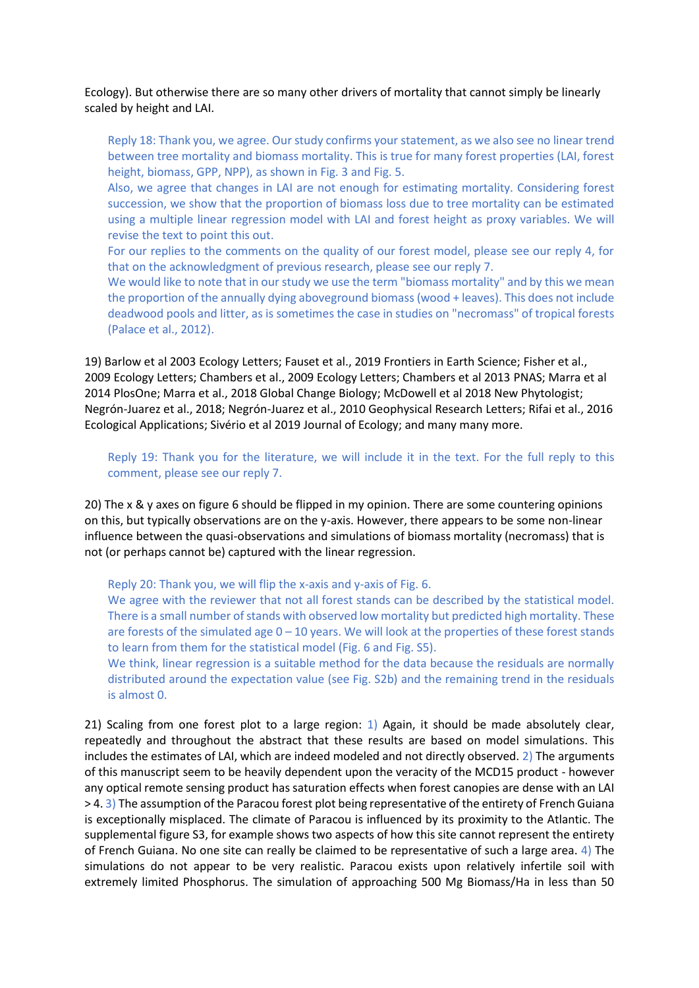Ecology). But otherwise there are so many other drivers of mortality that cannot simply be linearly scaled by height and LAI.

Reply 18: Thank you, we agree. Our study confirms your statement, as we also see no linear trend between tree mortality and biomass mortality. This is true for many forest properties (LAI, forest height, biomass, GPP, NPP), as shown in Fig. 3 and Fig. 5.

Also, we agree that changes in LAI are not enough for estimating mortality. Considering forest succession, we show that the proportion of biomass loss due to tree mortality can be estimated using a multiple linear regression model with LAI and forest height as proxy variables. We will revise the text to point this out.

For our replies to the comments on the quality of our forest model, please see our reply 4, for that on the acknowledgment of previous research, please see our reply 7.

We would like to note that in our study we use the term "biomass mortality" and by this we mean the proportion of the annually dying aboveground biomass (wood + leaves). This does not include deadwood pools and litter, as is sometimes the case in studies on "necromass" of tropical forests (Palace et al., 2012).

19) Barlow et al 2003 Ecology Letters; Fauset et al., 2019 Frontiers in Earth Science; Fisher et al., 2009 Ecology Letters; Chambers et al., 2009 Ecology Letters; Chambers et al 2013 PNAS; Marra et al 2014 PlosOne; Marra et al., 2018 Global Change Biology; McDowell et al 2018 New Phytologist; Negrón-Juarez et al., 2018; Negrón-Juarez et al., 2010 Geophysical Research Letters; Rifai et al., 2016 Ecological Applications; Sivério et al 2019 Journal of Ecology; and many many more.

Reply 19: Thank you for the literature, we will include it in the text. For the full reply to this comment, please see our reply 7.

20) The x & y axes on figure 6 should be flipped in my opinion. There are some countering opinions on this, but typically observations are on the y-axis. However, there appears to be some non-linear influence between the quasi-observations and simulations of biomass mortality (necromass) that is not (or perhaps cannot be) captured with the linear regression.

Reply 20: Thank you, we will flip the x-axis and y-axis of Fig. 6.

We agree with the reviewer that not all forest stands can be described by the statistical model. There is a small number of stands with observed low mortality but predicted high mortality. These are forests of the simulated age  $0 - 10$  years. We will look at the properties of these forest stands to learn from them for the statistical model (Fig. 6 and Fig. S5).

We think, linear regression is a suitable method for the data because the residuals are normally distributed around the expectation value (see Fig. S2b) and the remaining trend in the residuals is almost 0.

21) Scaling from one forest plot to a large region: 1) Again, it should be made absolutely clear, repeatedly and throughout the abstract that these results are based on model simulations. This includes the estimates of LAI, which are indeed modeled and not directly observed. 2) The arguments of this manuscript seem to be heavily dependent upon the veracity of the MCD15 product - however any optical remote sensing product has saturation effects when forest canopies are dense with an LAI > 4. 3) The assumption of the Paracou forest plot being representative of the entirety of French Guiana is exceptionally misplaced. The climate of Paracou is influenced by its proximity to the Atlantic. The supplemental figure S3, for example shows two aspects of how this site cannot represent the entirety of French Guiana. No one site can really be claimed to be representative of such a large area. 4) The simulations do not appear to be very realistic. Paracou exists upon relatively infertile soil with extremely limited Phosphorus. The simulation of approaching 500 Mg Biomass/Ha in less than 50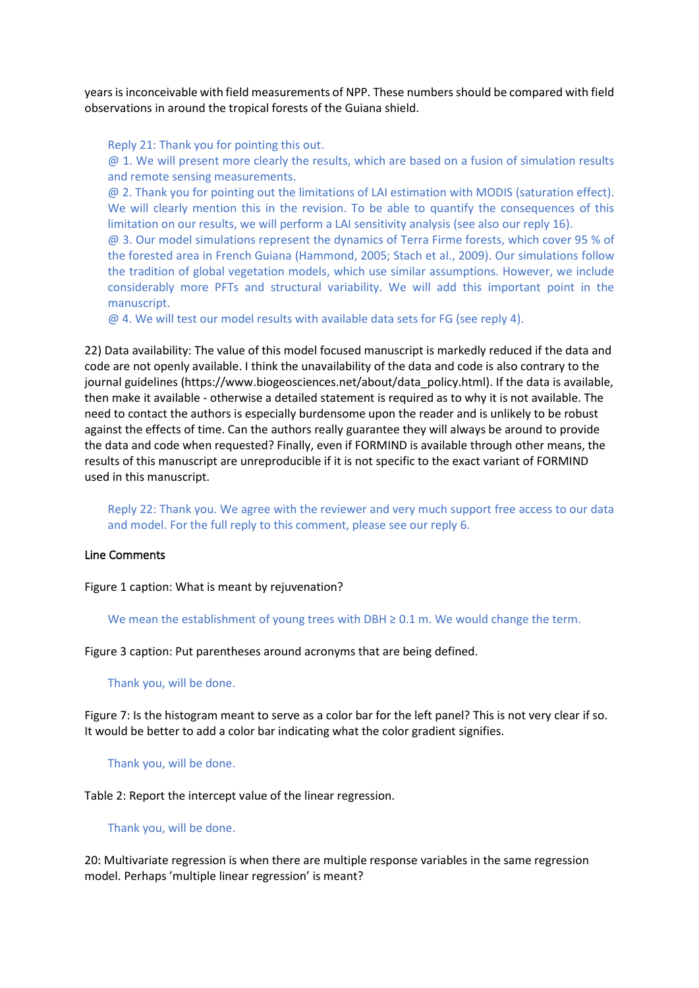years is inconceivable with field measurements of NPP. These numbers should be compared with field observations in around the tropical forests of the Guiana shield.

Reply 21: Thank you for pointing this out.

 $\omega$  1. We will present more clearly the results, which are based on a fusion of simulation results and remote sensing measurements.

@ 2. Thank you for pointing out the limitations of LAI estimation with MODIS (saturation effect). We will clearly mention this in the revision. To be able to quantify the consequences of this limitation on our results, we will perform a LAI sensitivity analysis (see also our reply 16).

@ 3. Our model simulations represent the dynamics of Terra Firme forests, which cover 95 % of the forested area in French Guiana (Hammond, 2005; Stach et al., 2009). Our simulations follow the tradition of global vegetation models, which use similar assumptions. However, we include considerably more PFTs and structural variability. We will add this important point in the manuscript.

@ 4. We will test our model results with available data sets for FG (see reply 4).

22) Data availability: The value of this model focused manuscript is markedly reduced if the data and code are not openly available. I think the unavailability of the data and code is also contrary to the journal guidelines (https://www.biogeosciences.net/about/data\_policy.html). If the data is available, then make it available - otherwise a detailed statement is required as to why it is not available. The need to contact the authors is especially burdensome upon the reader and is unlikely to be robust against the effects of time. Can the authors really guarantee they will always be around to provide the data and code when requested? Finally, even if FORMIND is available through other means, the results of this manuscript are unreproducible if it is not specific to the exact variant of FORMIND used in this manuscript.

Reply 22: Thank you. We agree with the reviewer and very much support free access to our data and model. For the full reply to this comment, please see our reply 6.

### Line Comments

Figure 1 caption: What is meant by rejuvenation?

We mean the establishment of young trees with DBH  $\geq$  0.1 m. We would change the term.

Figure 3 caption: Put parentheses around acronyms that are being defined.

Thank you, will be done.

Figure 7: Is the histogram meant to serve as a color bar for the left panel? This is not very clear if so. It would be better to add a color bar indicating what the color gradient signifies.

Thank you, will be done.

Table 2: Report the intercept value of the linear regression.

Thank you, will be done.

20: Multivariate regression is when there are multiple response variables in the same regression model. Perhaps 'multiple linear regression' is meant?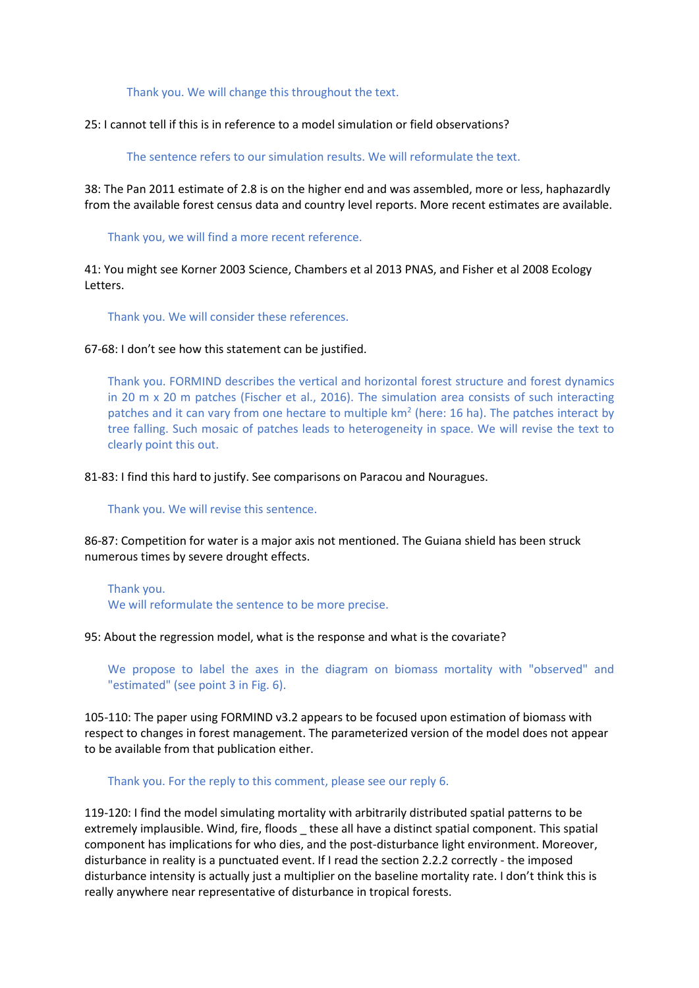Thank you. We will change this throughout the text.

25: I cannot tell if this is in reference to a model simulation or field observations?

The sentence refers to our simulation results. We will reformulate the text.

38: The Pan 2011 estimate of 2.8 is on the higher end and was assembled, more or less, haphazardly from the available forest census data and country level reports. More recent estimates are available.

Thank you, we will find a more recent reference.

41: You might see Korner 2003 Science, Chambers et al 2013 PNAS, and Fisher et al 2008 Ecology Letters.

Thank you. We will consider these references.

67-68: I don't see how this statement can be justified.

Thank you. FORMIND describes the vertical and horizontal forest structure and forest dynamics in 20 m x 20 m patches (Fischer et al., 2016). The simulation area consists of such interacting patches and it can vary from one hectare to multiple  $km<sup>2</sup>$  (here: 16 ha). The patches interact by tree falling. Such mosaic of patches leads to heterogeneity in space. We will revise the text to clearly point this out.

81-83: I find this hard to justify. See comparisons on Paracou and Nouragues.

Thank you. We will revise this sentence.

86-87: Competition for water is a major axis not mentioned. The Guiana shield has been struck numerous times by severe drought effects.

Thank you. We will reformulate the sentence to be more precise.

95: About the regression model, what is the response and what is the covariate?

We propose to label the axes in the diagram on biomass mortality with "observed" and "estimated" (see point 3 in Fig. 6).

105-110: The paper using FORMIND v3.2 appears to be focused upon estimation of biomass with respect to changes in forest management. The parameterized version of the model does not appear to be available from that publication either.

Thank you. For the reply to this comment, please see our reply 6.

119-120: I find the model simulating mortality with arbitrarily distributed spatial patterns to be extremely implausible. Wind, fire, floods \_ these all have a distinct spatial component. This spatial component has implications for who dies, and the post-disturbance light environment. Moreover, disturbance in reality is a punctuated event. If I read the section 2.2.2 correctly - the imposed disturbance intensity is actually just a multiplier on the baseline mortality rate. I don't think this is really anywhere near representative of disturbance in tropical forests.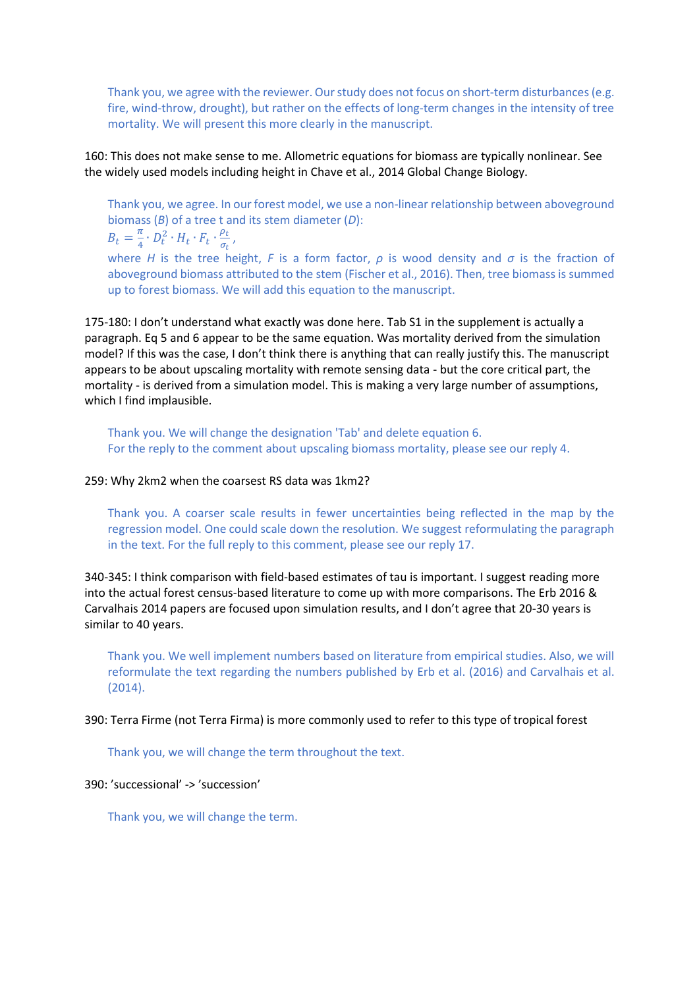Thank you, we agree with the reviewer. Our study does not focus on short-term disturbances (e.g. fire, wind-throw, drought), but rather on the effects of long-term changes in the intensity of tree mortality. We will present this more clearly in the manuscript.

160: This does not make sense to me. Allometric equations for biomass are typically nonlinear. See the widely used models including height in Chave et al., 2014 Global Change Biology.

Thank you, we agree. In our forest model, we use a non-linear relationship between aboveground biomass (*B*) of a tree t and its stem diameter (*D*):

 $B_t=\frac{\pi}{4}$  $\frac{\pi}{4} \cdot D_t^2 \cdot H_t \cdot F_t \cdot \frac{\rho_t}{\sigma_t}$  $\frac{\rho_t}{\sigma_t}$  ,

where *H* is the tree height, *F* is a form factor, *ρ* is wood density and *σ* is the fraction of aboveground biomass attributed to the stem (Fischer et al., 2016). Then, tree biomass is summed up to forest biomass. We will add this equation to the manuscript.

175-180: I don't understand what exactly was done here. Tab S1 in the supplement is actually a paragraph. Eq 5 and 6 appear to be the same equation. Was mortality derived from the simulation model? If this was the case, I don't think there is anything that can really justify this. The manuscript appears to be about upscaling mortality with remote sensing data - but the core critical part, the mortality - is derived from a simulation model. This is making a very large number of assumptions, which I find implausible.

Thank you. We will change the designation 'Tab' and delete equation 6. For the reply to the comment about upscaling biomass mortality, please see our reply 4.

#### 259: Why 2km2 when the coarsest RS data was 1km2?

Thank you. A coarser scale results in fewer uncertainties being reflected in the map by the regression model. One could scale down the resolution. We suggest reformulating the paragraph in the text. For the full reply to this comment, please see our reply 17.

340-345: I think comparison with field-based estimates of tau is important. I suggest reading more into the actual forest census-based literature to come up with more comparisons. The Erb 2016 & Carvalhais 2014 papers are focused upon simulation results, and I don't agree that 20-30 years is similar to 40 years.

Thank you. We well implement numbers based on literature from empirical studies. Also, we will reformulate the text regarding the numbers published by Erb et al. (2016) and Carvalhais et al. (2014).

390: Terra Firme (not Terra Firma) is more commonly used to refer to this type of tropical forest

Thank you, we will change the term throughout the text.

#### 390: 'successional' -> 'succession'

Thank you, we will change the term.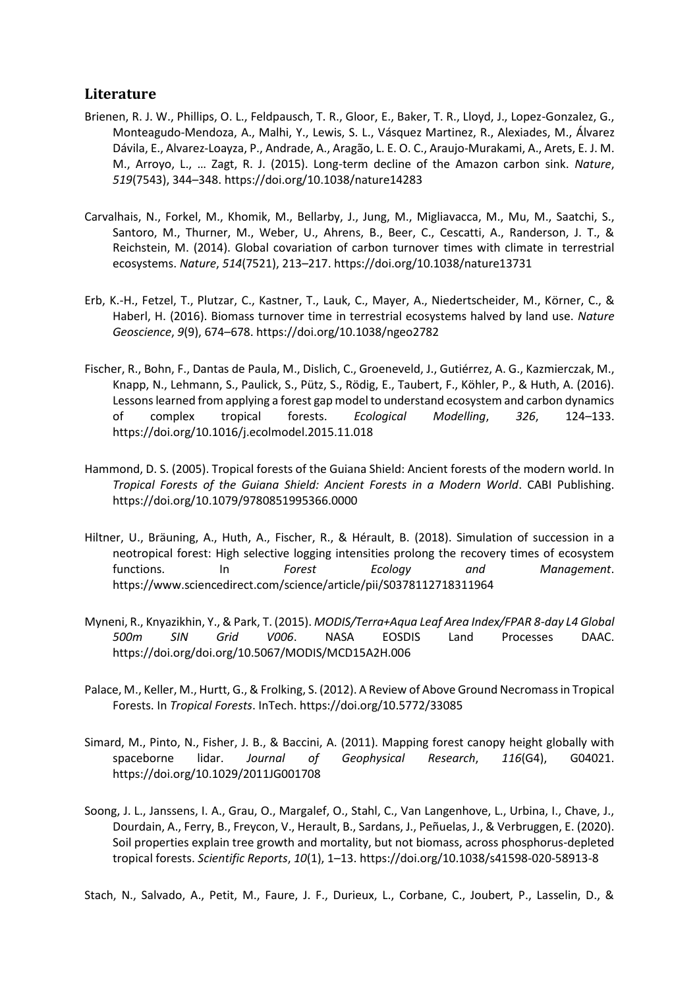## **Literature**

- Brienen, R. J. W., Phillips, O. L., Feldpausch, T. R., Gloor, E., Baker, T. R., Lloyd, J., Lopez-Gonzalez, G., Monteagudo-Mendoza, A., Malhi, Y., Lewis, S. L., Vásquez Martinez, R., Alexiades, M., Álvarez Dávila, E., Alvarez-Loayza, P., Andrade, A., Aragão, L. E. O. C., Araujo-Murakami, A., Arets, E. J. M. M., Arroyo, L., … Zagt, R. J. (2015). Long-term decline of the Amazon carbon sink. *Nature*, *519*(7543), 344–348. https://doi.org/10.1038/nature14283
- Carvalhais, N., Forkel, M., Khomik, M., Bellarby, J., Jung, M., Migliavacca, M., Μu, M., Saatchi, S., Santoro, M., Thurner, M., Weber, U., Ahrens, B., Beer, C., Cescatti, A., Randerson, J. T., & Reichstein, M. (2014). Global covariation of carbon turnover times with climate in terrestrial ecosystems. *Nature*, *514*(7521), 213–217. https://doi.org/10.1038/nature13731
- Erb, K.-H., Fetzel, T., Plutzar, C., Kastner, T., Lauk, C., Mayer, A., Niedertscheider, M., Körner, C., & Haberl, H. (2016). Biomass turnover time in terrestrial ecosystems halved by land use. *Nature Geoscience*, *9*(9), 674–678. https://doi.org/10.1038/ngeo2782
- Fischer, R., Bohn, F., Dantas de Paula, M., Dislich, C., Groeneveld, J., Gutiérrez, A. G., Kazmierczak, M., Knapp, N., Lehmann, S., Paulick, S., Pütz, S., Rödig, E., Taubert, F., Köhler, P., & Huth, A. (2016). Lessons learned from applying a forest gap model to understand ecosystem and carbon dynamics of complex tropical forests. *Ecological Modelling*, *326*, 124–133. https://doi.org/10.1016/j.ecolmodel.2015.11.018
- Hammond, D. S. (2005). Tropical forests of the Guiana Shield: Ancient forests of the modern world. In *Tropical Forests of the Guiana Shield: Ancient Forests in a Modern World*. CABI Publishing. https://doi.org/10.1079/9780851995366.0000
- Hiltner, U., Bräuning, A., Huth, A., Fischer, R., & Hérault, B. (2018). Simulation of succession in a neotropical forest: High selective logging intensities prolong the recovery times of ecosystem functions. In *Forest Ecology and Management*. https://www.sciencedirect.com/science/article/pii/S0378112718311964
- Myneni, R., Knyazikhin, Y., & Park, T. (2015). *MODIS/Terra+Aqua Leaf Area Index/FPAR 8-day L4 Global 500m SIN Grid V006*. NASA EOSDIS Land Processes DAAC. https://doi.org/doi.org/10.5067/MODIS/MCD15A2H.006
- Palace, M., Keller, M., Hurtt, G., & Frolking, S. (2012). A Review of Above Ground Necromass in Tropical Forests. In *Tropical Forests*. InTech. https://doi.org/10.5772/33085
- Simard, M., Pinto, N., Fisher, J. B., & Baccini, A. (2011). Mapping forest canopy height globally with spaceborne lidar. *Journal of Geophysical Research*, *116*(G4), G04021. https://doi.org/10.1029/2011JG001708
- Soong, J. L., Janssens, I. A., Grau, O., Margalef, O., Stahl, C., Van Langenhove, L., Urbina, I., Chave, J., Dourdain, A., Ferry, B., Freycon, V., Herault, B., Sardans, J., Peñuelas, J., & Verbruggen, E. (2020). Soil properties explain tree growth and mortality, but not biomass, across phosphorus-depleted tropical forests. *Scientific Reports*, *10*(1), 1–13. https://doi.org/10.1038/s41598-020-58913-8

Stach, N., Salvado, A., Petit, M., Faure, J. F., Durieux, L., Corbane, C., Joubert, P., Lasselin, D., &